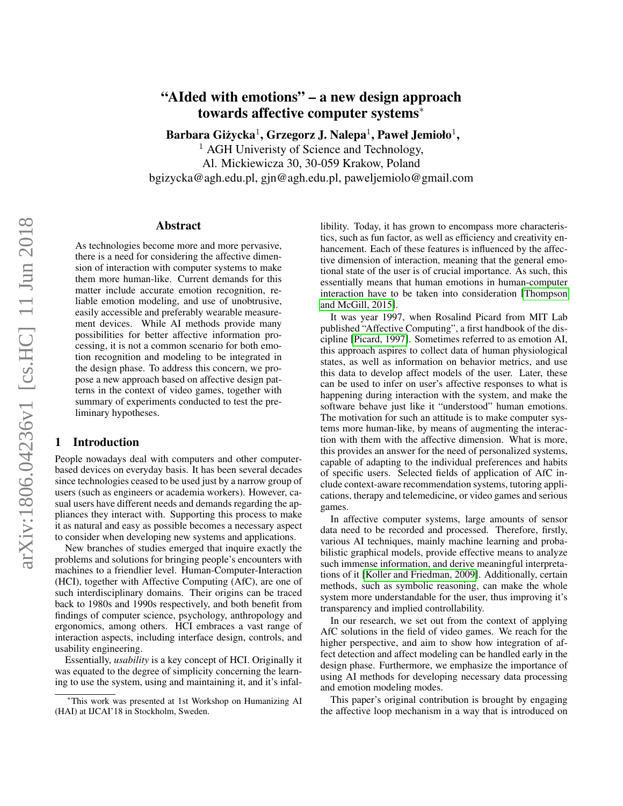# "AIded with emotions" – a new design approach towards affective computer systems<sup>∗</sup>

Barbara Giżycka $^1$ , Grzegorz J. Nalepa $^1$ , Paweł Jemioło $^1,$ 

 $<sup>1</sup>$  AGH Univeristy of Science and Technology,</sup> Al. Mickiewicza 30, 30-059 Krakow, Poland bgizycka@agh.edu.pl, gjn@agh.edu.pl, paweljemiolo@gmail.com

#### Abstract

As technologies become more and more pervasive, there is a need for considering the affective dimension of interaction with computer systems to make them more human-like. Current demands for this matter include accurate emotion recognition, reliable emotion modeling, and use of unobtrusive, easily accessible and preferably wearable measurement devices. While AI methods provide many possibilities for better affective information processing, it is not a common scenario for both emotion recognition and modeling to be integrated in the design phase. To address this concern, we propose a new approach based on affective design patterns in the context of video games, together with summary of experiments conducted to test the preliminary hypotheses.

## 1 Introduction

People nowadays deal with computers and other computerbased devices on everyday basis. It has been several decades since technologies ceased to be used just by a narrow group of users (such as engineers or academia workers). However, casual users have different needs and demands regarding the appliances they interact with. Supporting this process to make it as natural and easy as possible becomes a necessary aspect to consider when developing new systems and applications.

New branches of studies emerged that inquire exactly the problems and solutions for bringing people's encounters with machines to a friendlier level. Human-Computer-Interaction (HCI), together with Affective Computing (AfC), are one of such interdisciplinary domains. Their origins can be traced back to 1980s and 1990s respectively, and both benefit from findings of computer science, psychology, anthropology and ergonomics, among others. HCI embraces a vast range of interaction aspects, including interface design, controls, and usability engineering.

Essentially, *usability* is a key concept of HCI. Originally it was equated to the degree of simplicity concerning the learning to use the system, using and maintaining it, and it's infallibility. Today, it has grown to encompass more characteristics, such as fun factor, as well as efficiency and creativity enhancement. Each of these features is influenced by the affective dimension of interaction, meaning that the general emotional state of the user is of crucial importance. As such, this essentially means that human emotions in human-computer interaction have to be taken into consideration [\[Thompson](#page-5-0) [and McGill, 2015\]](#page-5-0).

It was year 1997, when Rosalind Picard from MIT Lab published "Affective Computing", a first handbook of the discipline [\[Picard, 1997\]](#page-5-1). Sometimes referred to as emotion AI, this approach aspires to collect data of human physiological states, as well as information on behavior metrics, and use this data to develop affect models of the user. Later, these can be used to infer on user's affective responses to what is happening during interaction with the system, and make the software behave just like it "understood" human emotions. The motivation for such an attitude is to make computer systems more human-like, by means of augmenting the interaction with them with the affective dimension. What is more, this provides an answer for the need of personalized systems, capable of adapting to the individual preferences and habits of specific users. Selected fields of application of AfC include context-aware recommendation systems, tutoring applications, therapy and telemedicine, or video games and serious games.

In affective computer systems, large amounts of sensor data need to be recorded and processed. Therefore, firstly, various AI techniques, mainly machine learning and probabilistic graphical models, provide effective means to analyze such immense information, and derive meaningful interpretations of it [\[Koller and Friedman, 2009\]](#page-5-2). Additionally, certain methods, such as symbolic reasoning, can make the whole system more understandable for the user, thus improving it's transparency and implied controllability.

In our research, we set out from the context of applying AfC solutions in the field of video games. We reach for the higher perspective, and aim to show how integration of affect detection and affect modeling can be handled early in the design phase. Furthermore, we emphasize the importance of using AI methods for developing necessary data processing and emotion modeling modes.

This paper's original contribution is brought by engaging the affective loop mechanism in a way that is introduced on

<sup>∗</sup>This work was presented at 1st Workshop on Humanizing AI (HAI) at IJCAI'18 in Stockholm, Sweden.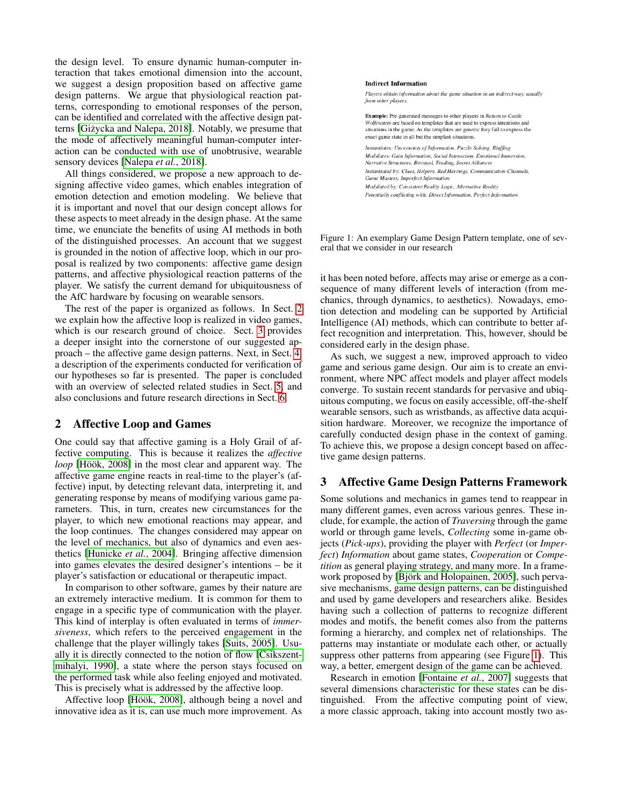the design level. To ensure dynamic human-computer interaction that takes emotional dimension into the account, we suggest a design proposition based on affective game design patterns. We argue that physiological reaction patterns, corresponding to emotional responses of the person, can be identified and correlated with the affective design patterns [Giżycka and Nalepa, 2018]. Notably, we presume that the mode of affectively meaningful human-computer interaction can be conducted with use of unobtrusive, wearable sensory devices [\[Nalepa](#page-5-3) *et al.*, 2018].

All things considered, we propose a new approach to designing affective video games, which enables integration of emotion detection and emotion modeling. We believe that it is important and novel that our design concept allows for these aspects to meet already in the design phase. At the same time, we enunciate the benefits of using AI methods in both of the distinguished processes. An account that we suggest is grounded in the notion of affective loop, which in our proposal is realized by two components: affective game design patterns, and affective physiological reaction patterns of the player. We satisfy the current demand for ubiquitousness of the AfC hardware by focusing on wearable sensors.

The rest of the paper is organized as follows. In Sect. [2](#page-1-0) we explain how the affective loop is realized in video games, which is our research ground of choice. Sect. [3](#page-1-1) provides a deeper insight into the cornerstone of our suggested approach – the affective game design patterns. Next, in Sect. [4,](#page-2-0) a description of the experiments conducted for verification of our hypotheses so far is presented. The paper is concluded with an overview of selected related studies in Sect. [5,](#page-3-0) and also conclusions and future research directions in Sect. [6.](#page-4-1)

## <span id="page-1-0"></span>2 Affective Loop and Games

One could say that affective gaming is a Holy Grail of affective computing. This is because it realizes the *affective loop* [Höök, 2008] in the most clear and apparent way. The affective game engine reacts in real-time to the player's (affective) input, by detecting relevant data, interpreting it, and generating response by means of modifying various game parameters. This, in turn, creates new circumstances for the player, to which new emotional reactions may appear, and the loop continues. The changes considered may appear on the level of mechanics, but also of dynamics and even aesthetics [\[Hunicke](#page-4-3) *et al.*, 2004]. Bringing affective dimension into games elevates the desired designer's intentions – be it player's satisfaction or educational or therapeutic impact.

In comparison to other software, games by their nature are an extremely interactive medium. It is common for them to engage in a specific type of communication with the player. This kind of interplay is often evaluated in terms of *immersiveness*, which refers to the perceived engagement in the challenge that the player willingly takes [\[Suits, 2005\]](#page-5-4). Usually it is directly connected to the notion of flow [\[Csikszent](#page-4-4)[mihalyi, 1990\]](#page-4-4), a state where the person stays focused on the performed task while also feeling enjoyed and motivated. This is precisely what is addressed by the affective loop.

Affective loop [Höök, 2008], although being a novel and innovative idea as it is, can use much more improvement. As

<span id="page-1-2"></span>

Figure 1: An exemplary Game Design Pattern template, one of several that we consider in our research

it has been noted before, affects may arise or emerge as a consequence of many different levels of interaction (from mechanics, through dynamics, to aesthetics). Nowadays, emotion detection and modeling can be supported by Artificial Intelligence (AI) methods, which can contribute to better affect recognition and interpretation. This, however, should be considered early in the design phase.

As such, we suggest a new, improved approach to video game and serious game design. Our aim is to create an environment, where NPC affect models and player affect models converge. To sustain recent standards for pervasive and ubiquitous computing, we focus on easily accessible, off-the-shelf wearable sensors, such as wristbands, as affective data acquisition hardware. Moreover, we recognize the importance of carefully conducted design phase in the context of gaming. To achieve this, we propose a design concept based on affective game design patterns.

## <span id="page-1-1"></span>3 Affective Game Design Patterns Framework

Some solutions and mechanics in games tend to reappear in many different games, even across various genres. These include, for example, the action of *Traversing* through the game world or through game levels, *Collecting* some in-game objects (*Pick-ups*), providing the player with *Perfect* (or *Imperfect*) *Information* about game states, *Cooperation* or *Competition* as general playing strategy, and many more. In a framework proposed by [Björk and Holopainen, 2005], such pervasive mechanisms, game design patterns, can be distinguished and used by game developers and researchers alike. Besides having such a collection of patterns to recognize different modes and motifs, the benefit comes also from the patterns forming a hierarchy, and complex net of relationships. The patterns may instantiate or modulate each other, or actually suppress other patterns from appearing (see Figure [1\)](#page-1-2). This way, a better, emergent design of the game can be achieved.

Research in emotion [\[Fontaine](#page-4-6) *et al.*, 2007] suggests that several dimensions characteristic for these states can be distinguished. From the affective computing point of view, a more classic approach, taking into account mostly two as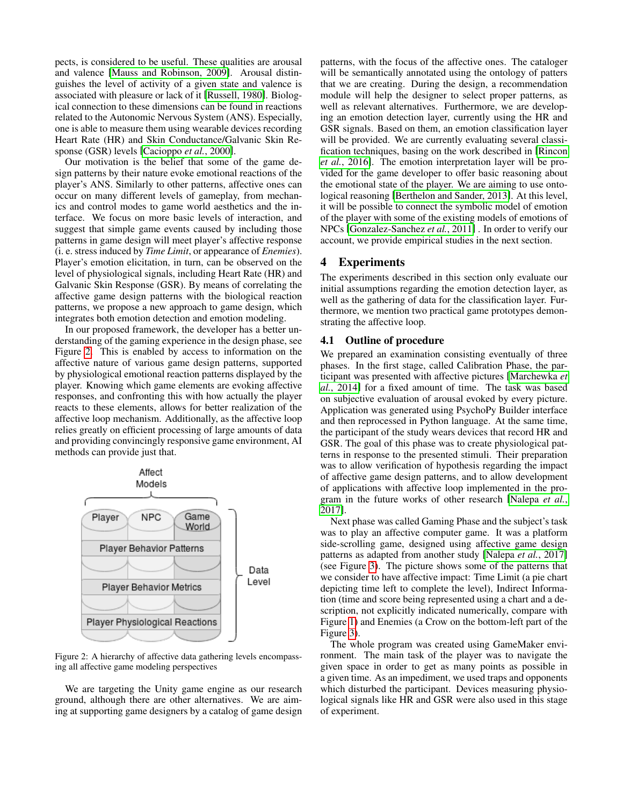pects, is considered to be useful. These qualities are arousal and valence [\[Mauss and Robinson, 2009\]](#page-5-5). Arousal distinguishes the level of activity of a given state and valence is associated with pleasure or lack of it [\[Russell, 1980\]](#page-5-6). Biological connection to these dimensions can be found in reactions related to the Autonomic Nervous System (ANS). Especially, one is able to measure them using wearable devices recording Heart Rate (HR) and Skin Conductance/Galvanic Skin Response (GSR) levels [\[Cacioppo](#page-4-7) *et al.*, 2000].

Our motivation is the belief that some of the game design patterns by their nature evoke emotional reactions of the player's ANS. Similarly to other patterns, affective ones can occur on many different levels of gameplay, from mechanics and control modes to game world aesthetics and the interface. We focus on more basic levels of interaction, and suggest that simple game events caused by including those patterns in game design will meet player's affective response (i. e. stress induced by *Time Limit*, or appearance of *Enemies*). Player's emotion elicitation, in turn, can be observed on the level of physiological signals, including Heart Rate (HR) and Galvanic Skin Response (GSR). By means of correlating the affective game design patterns with the biological reaction patterns, we propose a new approach to game design, which integrates both emotion detection and emotion modeling.

In our proposed framework, the developer has a better understanding of the gaming experience in the design phase, see Figure [2.](#page-2-1) This is enabled by access to information on the affective nature of various game design patterns, supported by physiological emotional reaction patterns displayed by the player. Knowing which game elements are evoking affective responses, and confronting this with how actually the player reacts to these elements, allows for better realization of the affective loop mechanism. Additionally, as the affective loop relies greatly on efficient processing of large amounts of data and providing convincingly responsive game environment, AI methods can provide just that.

<span id="page-2-1"></span>

Figure 2: A hierarchy of affective data gathering levels encompassing all affective game modeling perspectives

We are targeting the Unity game engine as our research ground, although there are other alternatives. We are aiming at supporting game designers by a catalog of game design patterns, with the focus of the affective ones. The cataloger will be semantically annotated using the ontology of patters that we are creating. During the design, a recommendation module will help the designer to select proper patterns, as well as relevant alternatives. Furthermore, we are developing an emotion detection layer, currently using the HR and GSR signals. Based on them, an emotion classification layer will be provided. We are currently evaluating several classification techniques, basing on the work described in [\[Rincon](#page-5-7) *et al.*[, 2016\]](#page-5-7). The emotion interpretation layer will be provided for the game developer to offer basic reasoning about the emotional state of the player. We are aiming to use ontological reasoning [\[Berthelon and Sander, 2013\]](#page-4-8). At this level, it will be possible to connect the symbolic model of emotion of the player with some of the existing models of emotions of NPCs [\[Gonzalez-Sanchez](#page-4-9) *et al.*, 2011] . In order to verify our account, we provide empirical studies in the next section.

## <span id="page-2-0"></span>4 Experiments

The experiments described in this section only evaluate our initial assumptions regarding the emotion detection layer, as well as the gathering of data for the classification layer. Furthermore, we mention two practical game prototypes demonstrating the affective loop.

#### 4.1 Outline of procedure

We prepared an examination consisting eventually of three phases. In the first stage, called Calibration Phase, the participant was presented with affective pictures [\[Marchewka](#page-5-8) *et al.*[, 2014\]](#page-5-8) for a fixed amount of time. The task was based on subjective evaluation of arousal evoked by every picture. Application was generated using PsychoPy Builder interface and then reprocessed in Python language. At the same time, the participant of the study wears devices that record HR and GSR. The goal of this phase was to create physiological patterns in response to the presented stimuli. Their preparation was to allow verification of hypothesis regarding the impact of affective game design patterns, and to allow development of applications with affective loop implemented in the program in the future works of other research [\[Nalepa](#page-5-9) *et al.*, [2017\]](#page-5-9).

Next phase was called Gaming Phase and the subject's task was to play an affective computer game. It was a platform side-scrolling game, designed using affective game design patterns as adapted from another study [\[Nalepa](#page-5-9) *et al.*, 2017] (see Figure [3\)](#page-3-1). The picture shows some of the patterns that we consider to have affective impact: Time Limit (a pie chart depicting time left to complete the level), Indirect Information (time and score being represented using a chart and a description, not explicitly indicated numerically, compare with Figure [1\)](#page-1-2) and Enemies (a Crow on the bottom-left part of the Figure [3\)](#page-3-1).

The whole program was created using GameMaker environment. The main task of the player was to navigate the given space in order to get as many points as possible in a given time. As an impediment, we used traps and opponents which disturbed the participant. Devices measuring physiological signals like HR and GSR were also used in this stage of experiment.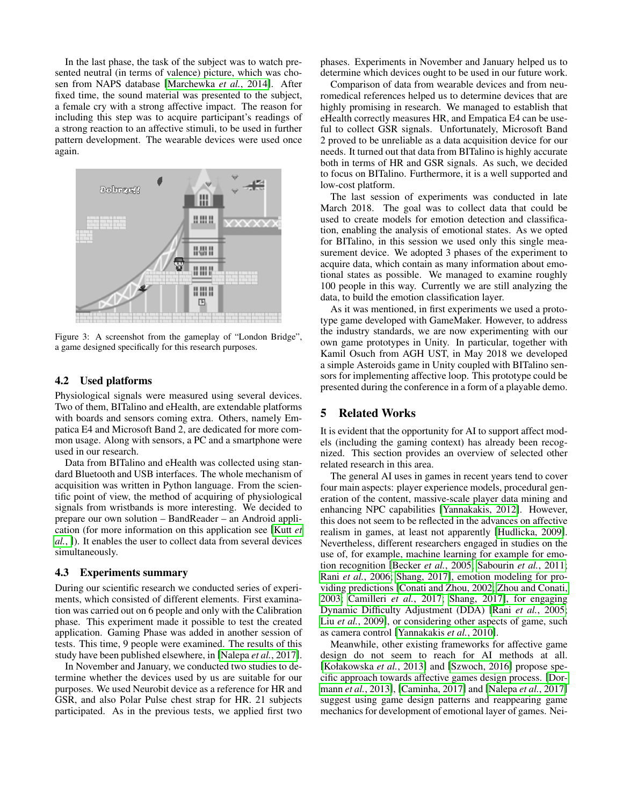In the last phase, the task of the subject was to watch presented neutral (in terms of valence) picture, which was chosen from NAPS database [\[Marchewka](#page-5-8) *et al.*, 2014]. After fixed time, the sound material was presented to the subject, a female cry with a strong affective impact. The reason for including this step was to acquire participant's readings of a strong reaction to an affective stimuli, to be used in further pattern development. The wearable devices were used once again.

<span id="page-3-1"></span>

Figure 3: A screenshot from the gameplay of "London Bridge", a game designed specifically for this research purposes.

#### 4.2 Used platforms

Physiological signals were measured using several devices. Two of them, BITalino and eHealth, are extendable platforms with boards and sensors coming extra. Others, namely Empatica E4 and Microsoft Band 2, are dedicated for more common usage. Along with sensors, a PC and a smartphone were used in our research.

Data from BITalino and eHealth was collected using standard Bluetooth and USB interfaces. The whole mechanism of acquisition was written in Python language. From the scientific point of view, the method of acquiring of physiological signals from wristbands is more interesting. We decided to prepare our own solution – BandReader – an Android application (for more information on this application see [\[Kutt](#page-5-10) *et [al.](#page-5-10)*, ]). It enables the user to collect data from several devices simultaneously.

#### 4.3 Experiments summary

During our scientific research we conducted series of experiments, which consisted of different elements. First examination was carried out on 6 people and only with the Calibration phase. This experiment made it possible to test the created application. Gaming Phase was added in another session of tests. This time, 9 people were examined. The results of this study have been published elsewhere, in [\[Nalepa](#page-5-9) *et al.*, 2017].

In November and January, we conducted two studies to determine whether the devices used by us are suitable for our purposes. We used Neurobit device as a reference for HR and GSR, and also Polar Pulse chest strap for HR. 21 subjects participated. As in the previous tests, we applied first two phases. Experiments in November and January helped us to determine which devices ought to be used in our future work.

Comparison of data from wearable devices and from neuromedical references helped us to determine devices that are highly promising in research. We managed to establish that eHealth correctly measures HR, and Empatica E4 can be useful to collect GSR signals. Unfortunately, Microsoft Band 2 proved to be unreliable as a data acquisition device for our needs. It turned out that data from BITalino is highly accurate both in terms of HR and GSR signals. As such, we decided to focus on BITalino. Furthermore, it is a well supported and low-cost platform.

The last session of experiments was conducted in late March 2018. The goal was to collect data that could be used to create models for emotion detection and classification, enabling the analysis of emotional states. As we opted for BITalino, in this session we used only this single measurement device. We adopted 3 phases of the experiment to acquire data, which contain as many information about emotional states as possible. We managed to examine roughly 100 people in this way. Currently we are still analyzing the data, to build the emotion classification layer.

As it was mentioned, in first experiments we used a prototype game developed with GameMaker. However, to address the industry standards, we are now experimenting with our own game prototypes in Unity. In particular, together with Kamil Osuch from AGH UST, in May 2018 we developed a simple Asteroids game in Unity coupled with BITalino sensors for implementing affective loop. This prototype could be presented during the conference in a form of a playable demo.

#### <span id="page-3-0"></span>5 Related Works

It is evident that the opportunity for AI to support affect models (including the gaming context) has already been recognized. This section provides an overview of selected other related research in this area.

The general AI uses in games in recent years tend to cover four main aspects: player experience models, procedural generation of the content, massive-scale player data mining and enhancing NPC capabilities [\[Yannakakis, 2012\]](#page-5-11). However, this does not seem to be reflected in the advances on affective realism in games, at least not apparently [\[Hudlicka, 2009\]](#page-4-10). Nevertheless, different researchers engaged in studies on the use of, for example, machine learning for example for emotion recognition [\[Becker](#page-4-11) *et al.*, 2005; [Sabourin](#page-5-12) *et al.*, 2011; Rani *et al.*[, 2006;](#page-5-13) [Shang, 2017\]](#page-5-14), emotion modeling for providing predictions [\[Conati and Zhou, 2002;](#page-4-12) [Zhou and Conati,](#page-5-15) [2003;](#page-5-15) [Camilleri](#page-4-13) *et al.*, 2017; [Shang, 2017\]](#page-5-14), for engaging Dynamic Difficulty Adjustment (DDA) [Rani *et al.*[, 2005;](#page-5-16) Liu *et al.*[, 2009\]](#page-5-17), or considering other aspects of game, such as camera control [\[Yannakakis](#page-5-18) *et al.*, 2010].

Meanwhile, other existing frameworks for affective game design do not seem to reach for AI methods at all. [\[Kołakowska](#page-4-14) *et al.*, 2013] and [\[Szwoch, 2016\]](#page-5-19) propose specific approach towards affective games design process. [\[Dor](#page-4-15)mann *et al.*[, 2013\]](#page-4-15), [\[Caminha, 2017\]](#page-4-16) and [\[Nalepa](#page-5-9) *et al.*, 2017] suggest using game design patterns and reappearing game mechanics for development of emotional layer of games. Nei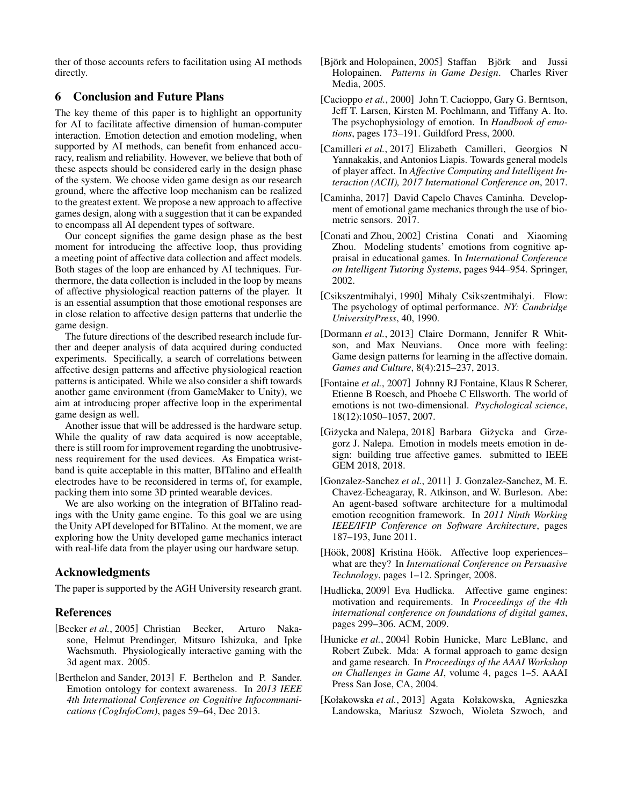ther of those accounts refers to facilitation using AI methods directly.

### <span id="page-4-1"></span>6 Conclusion and Future Plans

The key theme of this paper is to highlight an opportunity for AI to facilitate affective dimension of human-computer interaction. Emotion detection and emotion modeling, when supported by AI methods, can benefit from enhanced accuracy, realism and reliability. However, we believe that both of these aspects should be considered early in the design phase of the system. We choose video game design as our research ground, where the affective loop mechanism can be realized to the greatest extent. We propose a new approach to affective games design, along with a suggestion that it can be expanded to encompass all AI dependent types of software.

Our concept signifies the game design phase as the best moment for introducing the affective loop, thus providing a meeting point of affective data collection and affect models. Both stages of the loop are enhanced by AI techniques. Furthermore, the data collection is included in the loop by means of affective physiological reaction patterns of the player. It is an essential assumption that those emotional responses are in close relation to affective design patterns that underlie the game design.

The future directions of the described research include further and deeper analysis of data acquired during conducted experiments. Specifically, a search of correlations between affective design patterns and affective physiological reaction patterns is anticipated. While we also consider a shift towards another game environment (from GameMaker to Unity), we aim at introducing proper affective loop in the experimental game design as well.

Another issue that will be addressed is the hardware setup. While the quality of raw data acquired is now acceptable, there is still room for improvement regarding the unobtrusiveness requirement for the used devices. As Empatica wristband is quite acceptable in this matter, BITalino and eHealth electrodes have to be reconsidered in terms of, for example, packing them into some 3D printed wearable devices.

We are also working on the integration of BITalino readings with the Unity game engine. To this goal we are using the Unity API developed for BITalino. At the moment, we are exploring how the Unity developed game mechanics interact with real-life data from the player using our hardware setup.

## Acknowledgments

The paper is supported by the AGH University research grant.

## References

- <span id="page-4-11"></span>[Becker *et al.*, 2005] Christian Becker, Arturo Nakasone, Helmut Prendinger, Mitsuro Ishizuka, and Ipke Wachsmuth. Physiologically interactive gaming with the 3d agent max. 2005.
- <span id="page-4-8"></span>[Berthelon and Sander, 2013] F. Berthelon and P. Sander. Emotion ontology for context awareness. In *2013 IEEE 4th International Conference on Cognitive Infocommunications (CogInfoCom)*, pages 59–64, Dec 2013.
- <span id="page-4-5"></span>[Björk and Holopainen, 2005] Staffan Björk and Jussi Holopainen. *Patterns in Game Design*. Charles River Media, 2005.
- <span id="page-4-7"></span>[Cacioppo *et al.*, 2000] John T. Cacioppo, Gary G. Berntson, Jeff T. Larsen, Kirsten M. Poehlmann, and Tiffany A. Ito. The psychophysiology of emotion. In *Handbook of emotions*, pages 173–191. Guildford Press, 2000.
- <span id="page-4-13"></span>[Camilleri *et al.*, 2017] Elizabeth Camilleri, Georgios N Yannakakis, and Antonios Liapis. Towards general models of player affect. In *Affective Computing and Intelligent Interaction (ACII), 2017 International Conference on*, 2017.
- <span id="page-4-16"></span>[Caminha, 2017] David Capelo Chaves Caminha. Development of emotional game mechanics through the use of biometric sensors. 2017.
- <span id="page-4-12"></span>[Conati and Zhou, 2002] Cristina Conati and Xiaoming Zhou. Modeling students' emotions from cognitive appraisal in educational games. In *International Conference on Intelligent Tutoring Systems*, pages 944–954. Springer, 2002.
- <span id="page-4-4"></span>[Csikszentmihalyi, 1990] Mihaly Csikszentmihalyi. Flow: The psychology of optimal performance. *NY: Cambridge UniversityPress*, 40, 1990.
- <span id="page-4-15"></span>[Dormann *et al.*, 2013] Claire Dormann, Jennifer R Whitson, and Max Neuvians. Once more with feeling: Game design patterns for learning in the affective domain. *Games and Culture*, 8(4):215–237, 2013.
- <span id="page-4-6"></span>[Fontaine *et al.*, 2007] Johnny RJ Fontaine, Klaus R Scherer, Etienne B Roesch, and Phoebe C Ellsworth. The world of emotions is not two-dimensional. *Psychological science*, 18(12):1050–1057, 2007.
- <span id="page-4-0"></span>[Giżycka and Nalepa, 2018] Barbara Giżycka and Grzegorz J. Nalepa. Emotion in models meets emotion in design: building true affective games. submitted to IEEE GEM 2018, 2018.
- <span id="page-4-9"></span>[Gonzalez-Sanchez *et al.*, 2011] J. Gonzalez-Sanchez, M. E. Chavez-Echeagaray, R. Atkinson, and W. Burleson. Abe: An agent-based software architecture for a multimodal emotion recognition framework. In *2011 Ninth Working IEEE/IFIP Conference on Software Architecture*, pages 187–193, June 2011.
- <span id="page-4-2"></span>[Höök, 2008] Kristina Höök. Affective loop experiences– what are they? In *International Conference on Persuasive Technology*, pages 1–12. Springer, 2008.
- <span id="page-4-10"></span>[Hudlicka, 2009] Eva Hudlicka. Affective game engines: motivation and requirements. In *Proceedings of the 4th international conference on foundations of digital games*, pages 299–306. ACM, 2009.
- <span id="page-4-3"></span>[Hunicke *et al.*, 2004] Robin Hunicke, Marc LeBlanc, and Robert Zubek. Mda: A formal approach to game design and game research. In *Proceedings of the AAAI Workshop on Challenges in Game AI*, volume 4, pages 1–5. AAAI Press San Jose, CA, 2004.
- <span id="page-4-14"></span>[Kołakowska *et al.*, 2013] Agata Kołakowska, Agnieszka Landowska, Mariusz Szwoch, Wioleta Szwoch, and